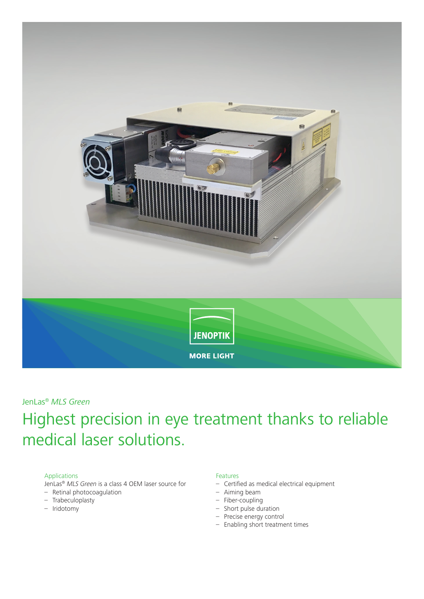

### JenLas® *MLS Green*

# Highest precision in eye treatment thanks to reliable medical laser solutions.

#### Applications

JenLas® *MLS Green* is a class 4 OEM laser source for

- Retinal photocoagulation
- Trabeculoplasty
- Iridotomy

#### Features

- Certified as medical electrical equipment
- Aiming beam
- Fiber-coupling
- Short pulse duration
- Precise energy control
- Enabling short treatment times